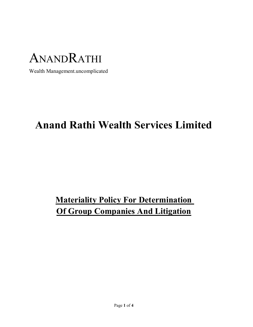

Wealth Management.uncomplicated

# Anand Rathi Wealth Services Limited

# **Materiality Policy For Determination** Of Group Companies And Litigation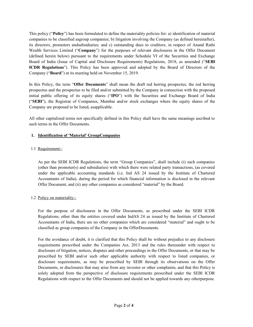This policy ("Policy") has been formulated to define the materiality policies for: a) identification of material companies to be classified asgroup companies; b) litigation involving the Company (as defined hereinafter), its directors, promoters andsubsidiaries; and c) outstanding dues to creditors, in respect of Anand Rathi Wealth Services Limited ("Company") for the purposes of relevant disclosures in the Offer Document (defined herein below) pursuant to the requirements under Schedule VI of the Securities and Exchange Board of India (Issue of Capital and Disclosure Requirements) Regulations, 2018, as amended ("SEBI ICDR Regulations"). This Policy has been approved and adopted by the Board of Directors of the Company ("Board") at its meeting held on November 15, 2019.

In this Policy, the term "Offer Documents" shall mean the draft red herring prospectus, the red herring prospectus and the prospectus to be filed and/or submitted by the Company in connection with the proposed initial public offering of its equity shares ("IPO") with the Securities and Exchange Board of India ("SEBI"), the Registrar of Companies, Mumbai and/or stock exchanges where the equity shares of the Company are proposed to be listed, asapplicable.

All other capitalized terms not specifically defined in this Policy shall have the same meanings ascribed to such terms in the Offer Documents.

#### 1. Identification of 'Material' GroupCompanies

#### 1.1 Requirement:-

As per the SEBI ICDR Regulations, the term "Group Companies", shall include (i) such companies (other than promoter(s) and subsidiaries) with which there were related party transactions, (as covered under the applicable accounting standards (i.e. Ind AS 24 issued by the Institute of Chartered Accountants of India), during the period for which financial information is disclosed in the relevant Offer Document, and (ii) any other companies as considered "material" by the Board.

#### 1.2 Policy on materiality:-

For the purpose of disclosures in the Offer Documents, as prescribed under the SEBI ICDR Regulations, other than the entities covered under IndAS 24 as issued by the Institute of Chartered Accountants of India, there are no other companies which are considered "material" and ought to be classified as group companies of the Company in the OfferDocuments.

For the avoidance of doubt, it is clarified that this Policy shall be without prejudice to any disclosure requirements prescribed under the Companies Act, 2013 and the rules thereunder with respect to disclosure of litigation, notices, disputes and other proceedings in the Offer Documents, or that may be prescribed by SEBI and/or such other applicable authority with respect to listed companies, or disclosure requirements, as may be prescribed by SEBI through its observations on the Offer Documents, or disclosures that may arise from any investor or other complaints, and that this Policy is solely adopted from the perspective of disclosure requirements prescribed under the SEBI ICDR Regulations with respect to the Offer Documents and should not be applied towards any otherpurpose.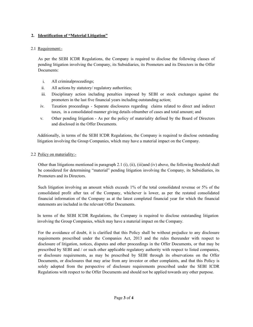# 2. Identification of "Material Litigation"

# 2.1 Requirement:-

As per the SEBI ICDR Regulations, the Company is required to disclose the following classes of pending litigation involving the Company, its Subsidiaries, its Promoters and its Directors in the Offer Documents:

- i. All criminalproceedings;
- ii. All actions by statutory/ regulatory authorities;
- iii. Disciplinary action including penalties imposed by SEBI or stock exchanges against the promoters in the last five financial years including outstanding action;
- iv. Taxation proceedings Separate disclosures regarding claims related to direct and indirect taxes, in a consolidated manner giving details ofnumber of cases and total amount; and
- v. Other pending litigation As per the policy of materiality defined by the Board of Directors and disclosed in the Offer Documents.

Additionally, in terms of the SEBI ICDR Regulations, the Company is required to disclose outstanding litigation involving the Group Companies, which may have a material impact on the Company.

# 2.2 Policy on materiality:-

Other than litigations mentioned in paragraph 2.1 (i), (ii), (iii)and (iv) above, the following threshold shall be considered for determining "material" pending litigation involving the Company, its Subsidiaries, its Promoters and its Directors.

Such litigation involving an amount which exceeds 1% of the total consolidated revenue or 5% of the consolidated profit after tax of the Company, whichever is lower, as per the restated consolidated financial information of the Company as at the latest completed financial year for which the financial statements are included in the relevant Offer Documents.

In terms of the SEBI ICDR Regulations, the Company is required to disclose outstanding litigation involving the Group Companies, which may have a material impact on the Company.

For the avoidance of doubt, it is clarified that this Policy shall be without prejudice to any disclosure requirements prescribed under the Companies Act, 2013 and the rules thereunder with respect to disclosure of litigation, notices, disputes and other proceedings in the Offer Documents, or that may be prescribed by SEBI and / or such other applicable regulatory authority with respect to listed companies, or disclosure requirements, as may be prescribed by SEBI through its observations on the Offer Documents, or disclosures that may arise from any investor or other complaints, and that this Policy is solely adopted from the perspective of disclosure requirements prescribed under the SEBI ICDR Regulations with respect to the Offer Documents and should not be applied towards any other purpose.